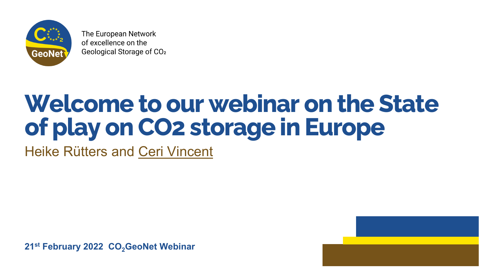

The European Network of excellence on the Geological Storage of CO<sub>2</sub>

### **Welcome to our webinar on the State of play on CO2 storage in Europe** Heike Rütters and Ceri Vincent

**21st February 2022 CO<sub>2</sub>GeoNet Webinar** 

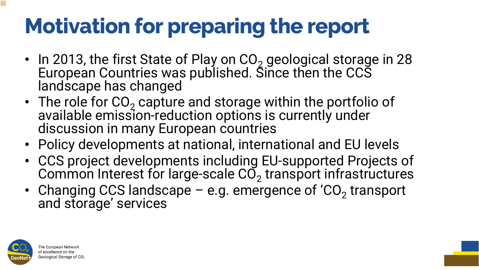- In 2013, the first State of Play on  $CO<sub>2</sub>$  geological storage in 28 European Countries was published. Since then the CCS landscape has changed
- The role for  $CO_2$  capture and storage within the portfolio of available emission-reduction options is currently under<br>discussion in many European countries
- 
- Policy developments at national, international and EU levels • CCS project developments including EU-supported Projects of Common Interest for large-scale  $CO<sub>2</sub>$  transport infrastructures
- Changing CCS landscape  $-$  e.g. emergence of 'CO<sub>2</sub> transport and storage' services



The European Network of excellence on the Geological Storage of CO2

## **Motivation for preparing the report**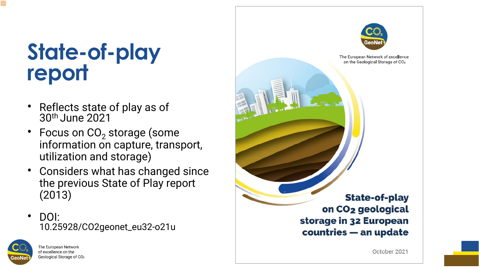### **State-of-play report**

- Reflects state of play as of 30th June 2021
- Focus on  $CO<sub>2</sub>$  storage (some information on capture, transport, utilization and storage)
- Considers what has changed since the previous State of Play report (2013)
- DOI: 10.25928/CO2geonet\_eu32-o21u





The European Network of excellence on the Geological Storage of CO2

#### **State-of-play** on CO<sub>2</sub> geological storage in 32 European countries - an update

October 2021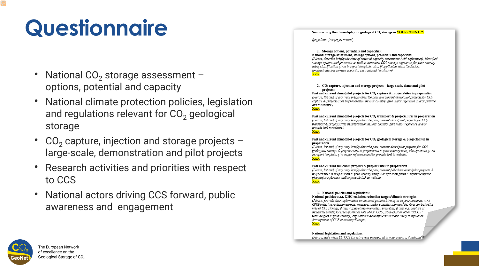### **Questionnaire**

- National  $CO<sub>2</sub>$  storage assessment options, potential and capacity
- National climate protection policies, legis and regulations relevant for  $CO<sub>2</sub>$  geologic storage
- $CO<sub>2</sub>$  capture, injection and storage projects large-scale, demonstration and pilot projects
- Research activities and priorities with respect to CCS
- National actors driving CCS forward, public awareness and engagement



|     | slation |
|-----|---------|
| cal |         |

| Summarising the state-of-play on geological CO2 storage in YOUR COUNTRY                                                                                                                                                                                                                                                                                                                                                                                                                         |  |  |
|-------------------------------------------------------------------------------------------------------------------------------------------------------------------------------------------------------------------------------------------------------------------------------------------------------------------------------------------------------------------------------------------------------------------------------------------------------------------------------------------------|--|--|
| (page limit: five pages in total)                                                                                                                                                                                                                                                                                                                                                                                                                                                               |  |  |
| 1. Storage options, potentials and capacities:<br>National storage assessment, storage options, potentials and capacities<br>(Please, describe briefly the state of national capacity assessment (with references), identified<br>storage options and potentials as well as estimated CO2 storage capacities for your country<br>using classification given in report template; also, if applicable, describe factors<br>limiting/reducing storage capacity, e.g. regional legislation)<br>Xxxx |  |  |
| 2. $CO2$ capture, injection and storage projects – large-scale, demo and pilot<br>projects:<br>Past and current demo/pilot projects for CO <sub>2</sub> capture & projects/sites in preparation<br>(Please, list and, if any, very briefly describe past and current demo/pilot projects for CO2<br>capture & projects/sites in preparation in your country, give major reference and/or provide<br>link to website.)<br>Xxxx                                                                   |  |  |
| Past and current demo/pilot projects for $CO2$ transport & projects/sites in preparation<br>(Please, list and, if any, very briefly describe past, current demo/pilot projects for CO2<br>transport & projects/sites in preparation in your country, give major reference and/or<br>provide link to website.)<br>Xxxx                                                                                                                                                                           |  |  |
| Past and current demo/pilot projects for CO2 geological storage & projects/sites in<br>preparation<br>(Please, list and, if any, very briefly describe past, current demo/pilot projects for CO2<br>geological storage & projects/sites in preparation in your country using classification given<br>in report template, give major reference and/or provide link to website)<br>Xxxx                                                                                                           |  |  |
| Past and current full-chain projects & projects/sites in preparation<br>(Please, list and, if any, very briefly describe past, current full-chain demo/pilot projects &<br>projects/sites in preparation in your country using classification given in report template,<br>give major reference and/or provide link to website<br>Xxxx                                                                                                                                                          |  |  |
| 3. National policies and regulations:<br>National policies w.r.t. GHG emission reduction targets/climate strategies<br>(Please, provide short information on national policies/strategies in your countries w.r.t.<br>GHG emission reduction targets, measures under consideration and the foreseen/potential<br>role of CO2 storage, if any; capture/implementation priorities, if any, e.g. capture at                                                                                        |  |  |
| industrial plants; foreseen/potential role of e.g. CCU, EOR/EGR or other "XCCY"<br>technologies in your country; key national developments that are likely to influence<br>development of CCS in country/Europe.)                                                                                                                                                                                                                                                                               |  |  |

National legislation and regulations

(Please, state when EU CCS Directive was transposed in your country, if national

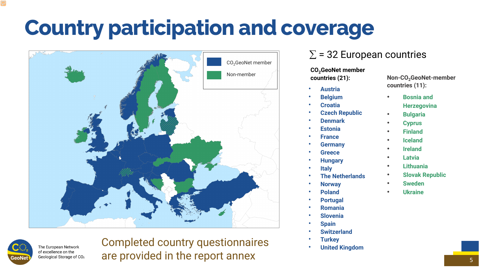### **Country participation and coverage**

#### CO<sub>2</sub>GeoNet member **countries (21):**

5

- **Austria**
- **Belgium**
- **Croatia**
- **Czech Republic**
- **Denmark**
- **Estonia**
- **France**
- **Germany**
- **Greece**
- **Hungary**
- **Italy**
- **The Netherlands**
- **Norway**
- **Poland**
- **Portugal**
- **Romania**
- **Slovenia**
- **Spain**
- **Switzerland**
- **Turkey**
- **United Kingdom**

**Non-CO<sub>2</sub>GeoNet-member countries (11):**





The European Network of excellence on the Geological Storage of CO<sub>2</sub>

- **Bosnia and Herzegovina**
- **Bulgaria**
- **Cyprus**
- **Finland**
- **Iceland**
- **Ireland**
- **Latvia**
- **Lithuania**
- **Slovak Republic**
- **Sweden**
- **Ukraine**



### Completed country questionnaires are provided in the report annex

#### $\Sigma$  = 32 European countries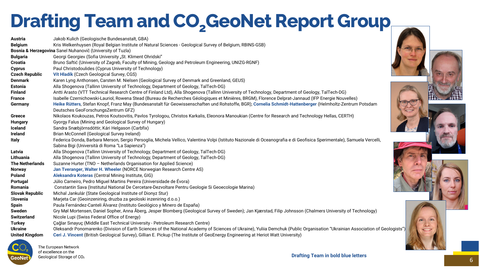### **Drafting Team and CO<sub>2</sub>GeoNet Report Group**

| <b>Austria</b>                                             | Jakob Kulich (Geologische Bundesanstalt, GBA)                                                       |  |
|------------------------------------------------------------|-----------------------------------------------------------------------------------------------------|--|
| <b>Belgium</b>                                             | Kris Welkenhuysen (Royal Belgian Institute of Natural Sciences - Geological Survey of Belgium, RI   |  |
| Bosnia & Herzegovina Sanel Nuhanovič (University of Tuzla) |                                                                                                     |  |
| <b>Bulgaria</b>                                            | Georgi Georgiev (Sofia University "St. Kliment Ohridski"                                            |  |
| <b>Croatia</b>                                             | Bruno Saftić (University of Zagreb, Faculty of Mining, Geology and Petroleum Engineering, UNIZG     |  |
| <b>Cyprus</b>                                              | Paul Christodoulides (Cyprus University of Technology)                                              |  |
| <b>Czech Republic</b>                                      | <b>Vít Hladík (Czech Geological Survey, CGS)</b>                                                    |  |
| <b>Denmark</b>                                             | Karen Lyng Anthonsen, Carsten M. Nielsen (Geological Survey of Denmark and Greenland, GEUS)         |  |
| <b>Estonia</b>                                             | Alla Shogenova (Tallinn University of Technology, Department of Geology, TalTech-DG)                |  |
| <b>Finland</b>                                             | Antti Arasto (VTT Technical Research Centre of Finland Ltd), Alla Shogenova (Tallinn University o   |  |
| <b>France</b>                                              | Isabelle Czernichowski-Lauriol, Rowena Stead (Bureau de Recherches Géologiques et Minières, B       |  |
| <b>Germany</b>                                             | Heike Rütters, Stefan Knopf, Franz May (Bundesanstalt für Geowissenschaften und Rohstoffe, BO       |  |
|                                                            | Deutsches GeoForschungsZentrum GFZ)                                                                 |  |
| <b>Greece</b>                                              | Nikolaos Koukouzas, Petros Koutsovitis, Pavlos Tyrologou, Christos Karkalis, Eleonora Manoukia      |  |
| <b>Hungary</b>                                             | Gyorgy Falus (Mining and Geological Survey of Hungary)                                              |  |
| <b>Iceland</b>                                             | Sandra Snæbjörnsdóttir, Kári Helgason (Carbfix)                                                     |  |
| <b>Ireland</b>                                             | Brian McConnell (Geological Survey Ireland)                                                         |  |
| <b>Italy</b>                                               | Federica Donda, Barbara Merson, Sergio Persoglia, Michela Vellico, Valentina Volpi (Istituto Nazio  |  |
|                                                            | Sabina Bigi (Università di Roma "La Sapienza")                                                      |  |
| Latvia                                                     | Alla Shogenova (Tallinn University of Technology, Department of Geology, TalTech-DG)                |  |
| Lithuania                                                  | Alla Shogenova (Tallinn University of Technology, Department of Geology, TalTech-DG)                |  |
| <b>The Netherlands</b>                                     | Suzanne Hurter (TNO - Netherlands Organisation for Applied Science)                                 |  |
| <b>Norway</b>                                              | Jan Tveranger, Walter H. Wheeler (NORCE Norwegian Research Centre AS)                               |  |
| <b>Poland</b>                                              | Aleksandra Koteras (Central Mining Institute, GIG)                                                  |  |
| <b>Portugal</b>                                            | Júlio Carneiro, Pedro Miguel Martins Pereira (Universidade de Évora)                                |  |
| <b>Romania</b>                                             | Constantin Sava (Institutul National De Cercetare-Dezvoltare Pentru Geologie Si Geoecologie Ma      |  |
| <b>Slovak Republic</b>                                     | Michal Jankulár (State Geological Institute of Dionyz Stur)                                         |  |
| <b>Slovenia</b>                                            | Marjeta Car (Geoinzeniring, druzba za geoloski inzeniring d.o.o.)                                   |  |
| <b>Spain</b>                                               | Paula Fernández-Canteli Álvarez (Instituto Geológico y Minero de España)                            |  |
| <b>Sweden</b>                                              | Gry Møl Mortensen, Daniel Sopher, Anna Åberg, Jesper Blomberg (Geological Survey of Sweden);        |  |
| <b>Switzerland</b>                                         | Nicole Lupi (Swiss Federal Office of Energy)                                                        |  |
| <b>Turkey</b>                                              | Çağlar Sınayuç (Middle East Technical University - Petroleum Research Centre)                       |  |
| <b>Ukraine</b>                                             | Oleksandr Ponomarenko (Division of Earth Sciences of the National Academy of Sciences of Ukra       |  |
| <b>United Kingdom</b>                                      | Ceri J. Vincent (British Geological Survey), Gillian E. Pickup (The Institute of GeoEnergy Engineer |  |



The European Network of excellence on the Geological Storage of CO2 Belgium, RBINS-GSB)

**ing, UNIZG-RGNF)** 

**Filtan** Antiti Antiti Antiti Antiti Antiti Arasto Centre Contro Contribution Centre Control Control Control Cont<br>
Antiversity of Technology, Department of Geology, TalTech-DG) **Minières, BRGM), Florence Delprat-Jannaud (IFP Energie Nouvelles)** bhstoffe, BGR); **Cornelia Schmidt-Hattenberger** (Helmholtz-Zentrum Potsdam

**Manoukian (Centre for Research and Technology Hellas, CERTH)** 

Iituto Nazionale di Oceanografia e di Geofisica Sperimentale), Samuela Vercelli,

**Romania** Cologie Marina)

Sweden); Jan Kjærstad, Filip Johnsson (Chalmers University of Technology)

ces of Ukraine), Yuliia Demchuk (Public Organisation "Ukrainian Association of Geologists") **y Engineering at Heriot Watt University)** 

<sup>6</sup> **Drafting Team in bold blue letters**